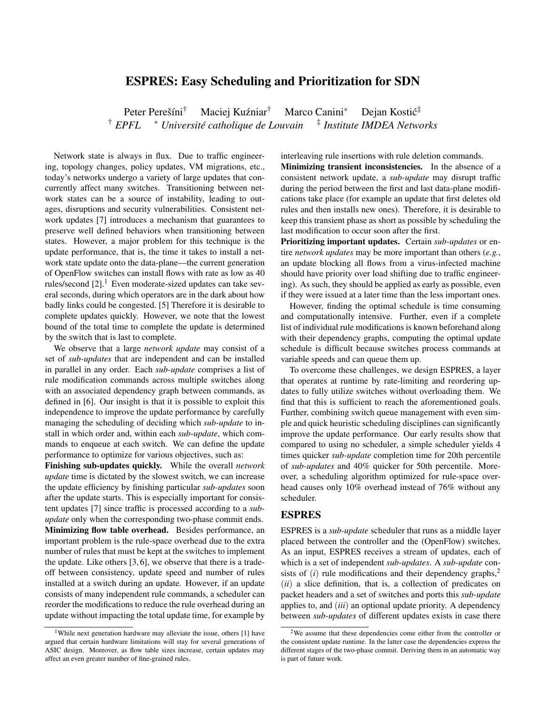## ESPRES: Easy Scheduling and Prioritization for SDN

Peter Perešíni<sup>†</sup> Maciej Kuźniar<sup>†</sup> Marco Canini<sup>\*</sup> Dejan Kostić<sup>‡</sup> † *EPFL* <sup>∗</sup> *Universite catholique de Louvain ´* ‡ *Institute IMDEA Networks*

Network state is always in flux. Due to traffic engineering, topology changes, policy updates, VM migrations, etc., today's networks undergo a variety of large updates that concurrently affect many switches. Transitioning between network states can be a source of instability, leading to outages, disruptions and security vulnerabilities. Consistent network updates [7] introduces a mechanism that guarantees to preserve well defined behaviors when transitioning between states. However, a major problem for this technique is the update performance, that is, the time it takes to install a network state update onto the data-plane—the current generation of OpenFlow switches can install flows with rate as low as 40 rules/second  $[2]$ .<sup>1</sup> Even moderate-sized updates can take several seconds, during which operators are in the dark about how badly links could be congested. [5] Therefore it is desirable to complete updates quickly. However, we note that the lowest bound of the total time to complete the update is determined by the switch that is last to complete.

We observe that a large *network update* may consist of a set of *sub-updates* that are independent and can be installed in parallel in any order. Each *sub-update* comprises a list of rule modification commands across multiple switches along with an associated dependency graph between commands, as defined in [6]. Our insight is that it is possible to exploit this independence to improve the update performance by carefully managing the scheduling of deciding which *sub-update* to install in which order and, within each *sub-update*, which commands to enqueue at each switch. We can define the update performance to optimize for various objectives, such as:

Finishing sub-updates quickly. While the overall *network update* time is dictated by the slowest switch, we can increase the update efficiency by finishing particular *sub-updates* soon after the update starts. This is especially important for consistent updates [7] since traffic is processed according to a *subupdate* only when the corresponding two-phase commit ends. Minimizing flow table overhead. Besides performance, an important problem is the rule-space overhead due to the extra number of rules that must be kept at the switches to implement the update. Like others [3, 6], we observe that there is a tradeoff between consistency, update speed and number of rules installed at a switch during an update. However, if an update consists of many independent rule commands, a scheduler can reorder the modifications to reduce the rule overhead during an update without impacting the total update time, for example by

interleaving rule insertions with rule deletion commands.

Minimizing transient inconsistencies. In the absence of a consistent network update, a *sub-update* may disrupt traffic during the period between the first and last data-plane modifications take place (for example an update that first deletes old rules and then installs new ones). Therefore, it is desirable to keep this transient phase as short as possible by scheduling the last modification to occur soon after the first.

Prioritizing important updates. Certain *sub-updates* or entire *network updates* may be more important than others (*e.g.*, an update blocking all flows from a virus-infected machine should have priority over load shifting due to traffic engineering). As such, they should be applied as early as possible, even if they were issued at a later time than the less important ones.

However, finding the optimal schedule is time consuming and computationally intensive. Further, even if a complete list of individual rule modifications is known beforehand along with their dependency graphs, computing the optimal update schedule is difficult because switches process commands at variable speeds and can queue them up.

To overcome these challenges, we design ESPRES, a layer that operates at runtime by rate-limiting and reordering updates to fully utilize switches without overloading them. We find that this is sufficient to reach the aforementioned goals. Further, combining switch queue management with even simple and quick heuristic scheduling disciplines can significantly improve the update performance. Our early results show that compared to using no scheduler, a simple scheduler yields 4 times quicker *sub-update* completion time for 20th percentile of *sub-updates* and 40% quicker for 50th percentile. Moreover, a scheduling algorithm optimized for rule-space overhead causes only 10% overhead instead of 76% without any scheduler.

## ESPRES

ESPRES is a *sub-update* scheduler that runs as a middle layer placed between the controller and the (OpenFlow) switches. As an input, ESPRES receives a stream of updates, each of which is a set of independent *sub-updates*. A *sub-update* consists of  $(i)$  rule modifications and their dependency graphs,<sup>2</sup> (*ii*) a slice definition, that is, a collection of predicates on packet headers and a set of switches and ports this *sub-update* applies to, and (*iii*) an optional update priority. A dependency between *sub-updates* of different updates exists in case there

<sup>&</sup>lt;sup>1</sup>While next generation hardware may alleviate the issue, others [1] have argued that certain hardware limitations will stay for several generations of ASIC design. Moreover, as flow table sizes increase, certain updates may affect an even greater number of fine-grained rules.

<sup>2</sup>We assume that these dependencies come either from the controller or the consistent update runtime. In the latter case the dependencies express the different stages of the two-phase commit. Deriving them in an automatic way is part of future work.